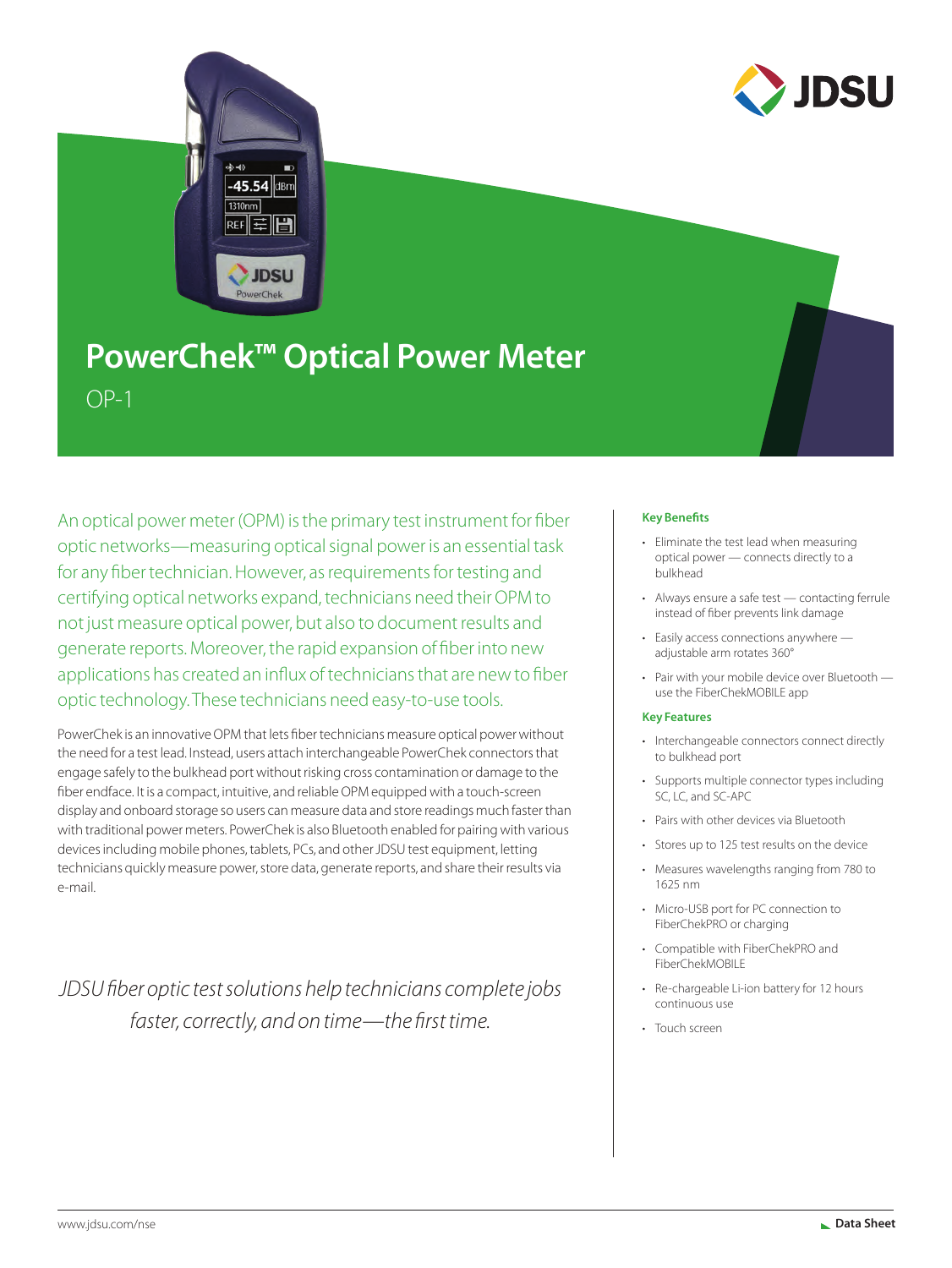

# **PowerChek™ Optical Power Meter**  $OP-1$

An optical power meter (OPM) is the primary test instrument for fiber optic networks—measuring optical signal power is an essential task for any fiber technician. However, as requirements for testing and certifying optical networks expand, technicians need their OPM to not just measure optical power, but also to document results and generate reports. Moreover, the rapid expansion of fiber into new applications has created an influx of technicians that are new to fiber optic technology. These technicians need easy-to-use tools.

PowerChek is an innovative OPM that lets fiber technicians measure optical power without the need for a test lead. Instead, users attach interchangeable PowerChek connectors that engage safely to the bulkhead port without risking cross contamination or damage to the fiber endface. It is a compact, intuitive, and reliable OPM equipped with a touch-screen display and onboard storage so users can measure data and store readings much faster than with traditional power meters. PowerChek is also Bluetooth enabled for pairing with various devices including mobile phones, tablets, PCs, and other JDSU test equipment, letting technicians quickly measure power, store data, generate reports, and share their results via e-mail.

*JDSU fiber optic test solutions help technicians complete jobs faster, correctly, and on time—the first time.*

### **Key Benefits**

- Eliminate the test lead when measuring optical power — connects directly to a bulkhead
- Always ensure a safe test contacting ferrule instead of fiber prevents link damage
- Easily access connections anywhere adjustable arm rotates 360°
- Pair with your mobile device over Bluetooth use the FiberChekMOBILE app

### **Key Features**

- Interchangeable connectors connect directly to bulkhead port
- Supports multiple connector types including SC, LC, and SC-APC
- Pairs with other devices via Bluetooth
- Stores up to 125 test results on the device
- Measures wavelengths ranging from 780 to 1625 nm
- Micro-USB port for PC connection to FiberChekPRO or charging
- Compatible with FiberChekPRO and FiberChekMOBILE
- Re-chargeable Li-ion battery for 12 hours continuous use
- Touch screen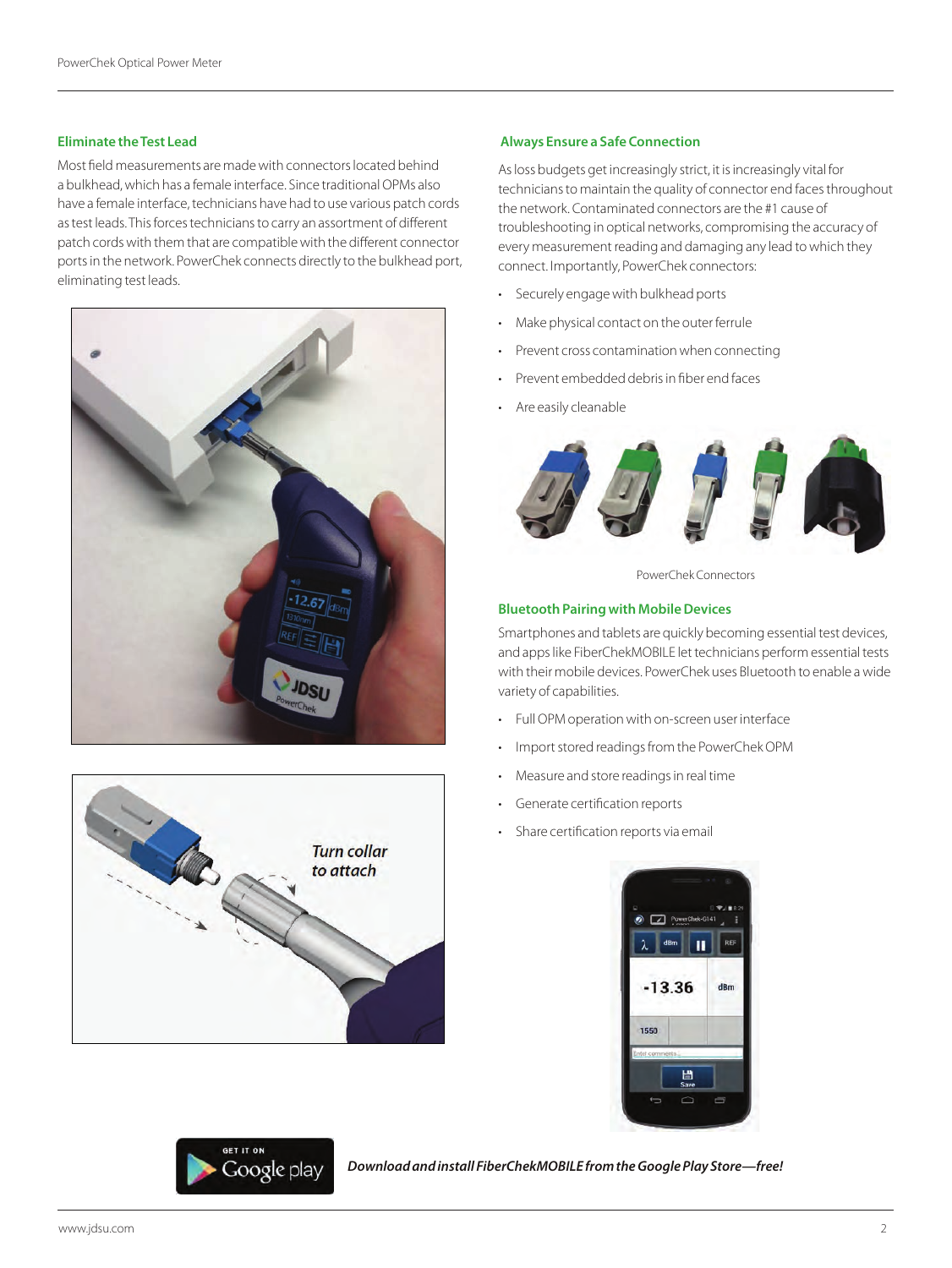### **Eliminate the Test Lead**

Most field measurements are made with connectors located behind a bulkhead, which has a female interface. Since traditional OPMs also have a female interface, technicians have had to use various patch cords as test leads. This forces technicians to carry an assortment of different patch cords with them that are compatible with the different connector ports in the network. PowerChek connects directly to the bulkhead port, eliminating test leads.





# Google play

 *Download and install FiberChekMOBILE from the Google Play Store—free!*

### **Always Ensure a Safe Connection**

As loss budgets get increasingly strict, it is increasingly vital for technicians to maintain the quality of connector end faces throughout the network. Contaminated connectors are the #1 cause of troubleshooting in optical networks, compromising the accuracy of every measurement reading and damaging any lead to which they connect. Importantly, PowerChek connectors:

- Securely engage with bulkhead ports
- Make physical contact on the outer ferrule
- Prevent cross contamination when connecting
- Prevent embedded debris in fiber end faces
- Are easily cleanable



PowerChek Connectors

### **Bluetooth Pairing with Mobile Devices**

Smartphones and tablets are quickly becoming essential test devices, and apps like FiberChekMOBILE let technicians perform essential tests with their mobile devices. PowerChek uses Bluetooth to enable a wide variety of capabilities.

- Full OPM operation with on-screen user interface
- Import stored readings from the PowerChek OPM
- Measure and store readings in real time
- Generate certification reports
- Share certification reports via email

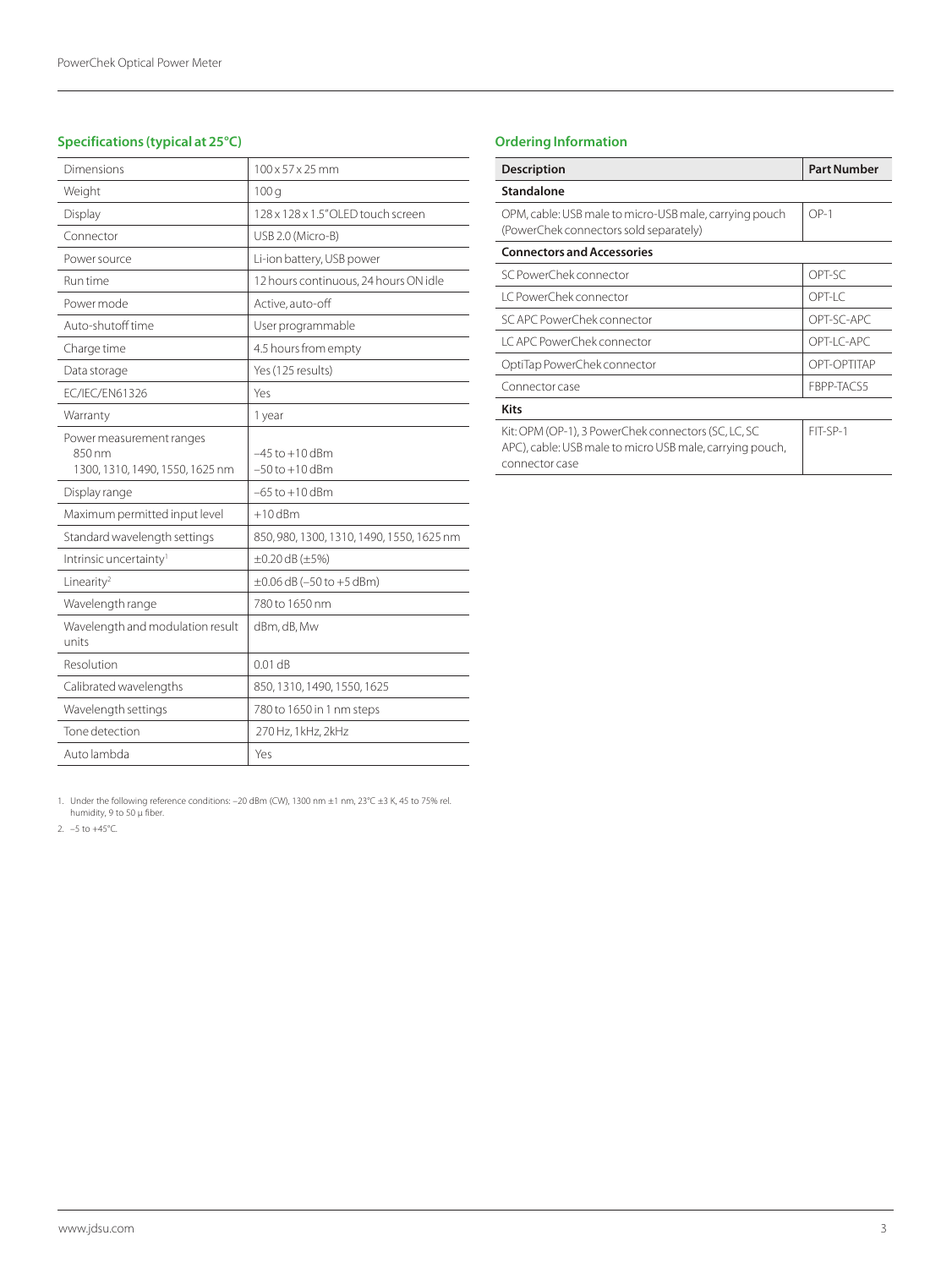| Dimensions                                                            | $100 \times 57 \times 25$ mm              |
|-----------------------------------------------------------------------|-------------------------------------------|
| Weight                                                                | 100q                                      |
| Display                                                               | 128 x 128 x 1.5" OLED touch screen        |
| Connector                                                             | USB 2.0 (Micro-B)                         |
| Power source                                                          | Li-ion battery, USB power                 |
| Run time                                                              | 12 hours continuous, 24 hours ON idle     |
| Power mode                                                            | Active, auto-off                          |
| Auto-shutoff time                                                     | User programmable                         |
| Charge time                                                           | 4.5 hours from empty                      |
| Data storage                                                          | Yes (125 results)                         |
| EC/IEC/EN61326                                                        | Yes                                       |
| Warranty                                                              | 1 year                                    |
| Power measurement ranges<br>850 nm<br>1300, 1310, 1490, 1550, 1625 nm | $-45$ to $+10$ dBm<br>$-50$ to $+10$ dBm  |
| Display range                                                         | $-65$ to $+10$ dBm                        |
| Maximum permitted input level                                         | $+10$ dBm                                 |
| Standard wavelength settings                                          | 850, 980, 1300, 1310, 1490, 1550, 1625 nm |
| Intrinsic uncertainty <sup>1</sup>                                    | $\pm 0.20$ dB ( $\pm 5\%$ )               |
| Linearity <sup>2</sup>                                                | $\pm 0.06$ dB (-50 to +5 dBm)             |
| Wavelength range                                                      | 780 to 1650 nm                            |
| Wavelength and modulation result<br>units                             | dBm, dB, Mw                               |
| Resolution                                                            | $0.01$ dB                                 |
| Calibrated wavelengths                                                | 850, 1310, 1490, 1550, 1625               |
| Wavelength settings                                                   | 780 to 1650 in 1 nm steps                 |
| Tone detection                                                        | 270 Hz, 1 kHz, 2 kHz                      |
| Auto lambda                                                           | Yes                                       |

## **Specifications (typical at 25°C)**

## **Ordering Information**

| <b>Description</b>                                                                                                                | <b>Part Number</b> |  |
|-----------------------------------------------------------------------------------------------------------------------------------|--------------------|--|
| Standalone                                                                                                                        |                    |  |
| OPM, cable: USB male to micro-USB male, carrying pouch<br>(PowerChek connectors sold separately)                                  | $OP-1$             |  |
| <b>Connectors and Accessories</b>                                                                                                 |                    |  |
| SC PowerChek connector                                                                                                            | OPT-SC             |  |
| I C PowerChek connector                                                                                                           | OPT-I C            |  |
| SC APC PowerChek connector                                                                                                        | OPT-SC-APC         |  |
| I CAPC PowerChek connector                                                                                                        | OPT-I C-APC        |  |
| OptiTap PowerChek connector                                                                                                       | OPT-OPTITAP        |  |
| Connector case                                                                                                                    | FBPP-TACS5         |  |
| <b>Kits</b>                                                                                                                       |                    |  |
| Kit: OPM (OP-1), 3 PowerChek connectors (SC, LC, SC<br>APC), cable: USB male to micro USB male, carrying pouch,<br>connector case | FIT-SP-1           |  |

1. Under the following reference conditions: –20 dBm (CW), 1300 nm ±1 nm, 23°C ±3 K, 45 to 75% rel. humidity, 9 to 50 µ fiber.

2. –5 to +45°C.